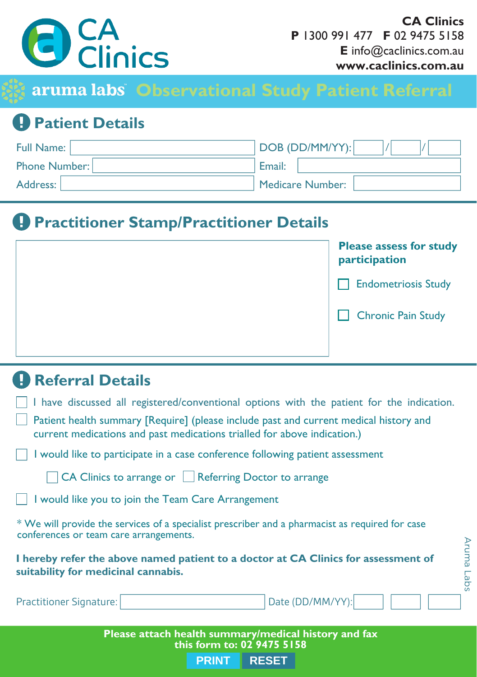

**CA Clinics** P 1300 991 477 F 02 9475 5158  $\mathsf{E}$  info@caclinics.com.au www.caclinics.com.au

Aruma Lab:

aruma labs<sup>'</sup> Observational Study Patient Referral

## **Patient Details**

| Full Name:    | DOB (DD/MM/YY):  |
|---------------|------------------|
| Phone Number: | Email:           |
| Address: I    | Medicare Number: |

## **A** Practitioner Stamp/Practitioner Details

| <b>Please assess for study</b><br>participation |
|-------------------------------------------------|
| <b>Endometriosis Study</b>                      |
| <b>Chronic Pain Study</b>                       |
|                                                 |

## **Referral Details**

- I have discussed all registered/conventional options with the patient for the indication.
- Patient health summary [Require] (please include past and current medical history and current medications and past medications trialled for above indication.)

I would like to participate in a case conference following patient assessment

□ CA Clinics to arrange or ■ Referring Doctor to arrange

I would like you to join the Team Care Arrangement

\* We will provide the services of a specialist prescriber and a pharmacist as required for case conferences or team care arrangements.

I hereby refer the above named patient to a doctor at CA Clinics for assessment of suitability for medicinal cannabis.

| <b>Practitioner Signature:</b> | Date (DD/MM/YY): |  |
|--------------------------------|------------------|--|
|                                |                  |  |

Please attach health summary/medical history and fax this form to: 02 9475 5158

> **PRINT RESET**